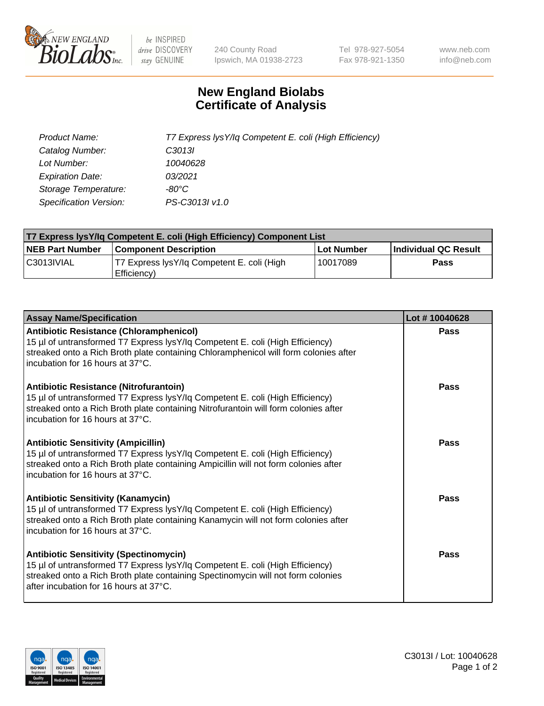

 $be$  INSPIRED drive DISCOVERY stay GENUINE

240 County Road Ipswich, MA 01938-2723 Tel 978-927-5054 Fax 978-921-1350 www.neb.com info@neb.com

## **New England Biolabs Certificate of Analysis**

| Product Name:                 | T7 Express lysY/lq Competent E. coli (High Efficiency) |
|-------------------------------|--------------------------------------------------------|
| Catalog Number:               | C <sub>3013</sub>                                      |
| Lot Number:                   | 10040628                                               |
| <b>Expiration Date:</b>       | 03/2021                                                |
| Storage Temperature:          | -80°C                                                  |
| <b>Specification Version:</b> | PS-C3013I v1.0                                         |

| T7 Express lysY/lq Competent E. coli (High Efficiency) Component List |                                                           |            |                      |  |
|-----------------------------------------------------------------------|-----------------------------------------------------------|------------|----------------------|--|
| <b>NEB Part Number</b>                                                | <b>Component Description</b>                              | Lot Number | Individual QC Result |  |
| C3013IVIAL                                                            | T7 Express lysY/lg Competent E. coli (High<br>Efficiency) | 10017089   | Pass                 |  |

| <b>Assay Name/Specification</b>                                                                                                                                                                                                                              | Lot #10040628 |
|--------------------------------------------------------------------------------------------------------------------------------------------------------------------------------------------------------------------------------------------------------------|---------------|
| <b>Antibiotic Resistance (Chloramphenicol)</b><br>15 µl of untransformed T7 Express lysY/lq Competent E. coli (High Efficiency)<br>streaked onto a Rich Broth plate containing Chloramphenicol will form colonies after<br>incubation for 16 hours at 37°C.  | <b>Pass</b>   |
| <b>Antibiotic Resistance (Nitrofurantoin)</b><br>15 µl of untransformed T7 Express lysY/lq Competent E. coli (High Efficiency)<br>streaked onto a Rich Broth plate containing Nitrofurantoin will form colonies after<br>incubation for 16 hours at 37°C.    | Pass          |
| <b>Antibiotic Sensitivity (Ampicillin)</b><br>15 µl of untransformed T7 Express lysY/lq Competent E. coli (High Efficiency)<br>streaked onto a Rich Broth plate containing Ampicillin will not form colonies after<br>incubation for 16 hours at 37°C.       | Pass          |
| <b>Antibiotic Sensitivity (Kanamycin)</b><br>15 µl of untransformed T7 Express lysY/lq Competent E. coli (High Efficiency)<br>streaked onto a Rich Broth plate containing Kanamycin will not form colonies after<br>incubation for 16 hours at 37°C.         | Pass          |
| <b>Antibiotic Sensitivity (Spectinomycin)</b><br>15 µl of untransformed T7 Express lysY/lq Competent E. coli (High Efficiency)<br>streaked onto a Rich Broth plate containing Spectinomycin will not form colonies<br>after incubation for 16 hours at 37°C. | Pass          |